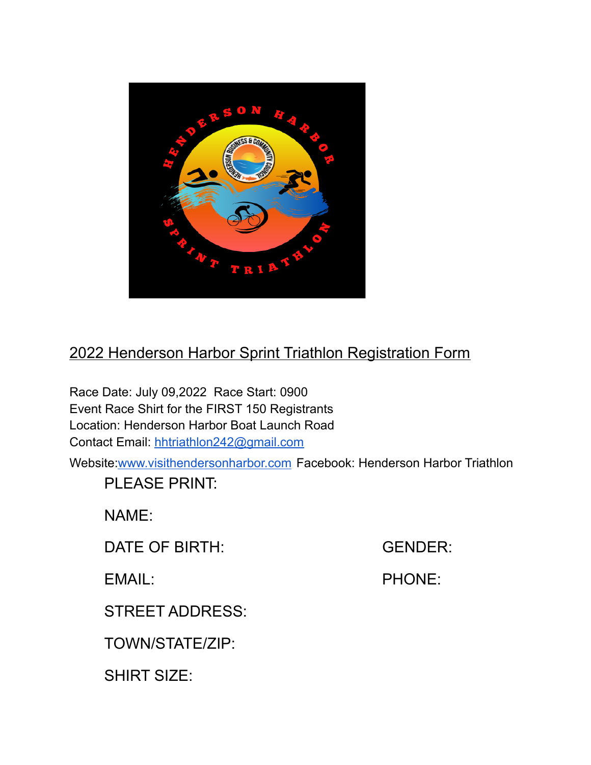

## 2022 Henderson Harbor Sprint Triathlon Registration Form

Race Date: July 09,2022 Race Start: 0900 Event Race Shirt for the FIRST 150 Registrants Location: Henderson Harbor Boat Launch Road Contact Email: [hhtriathlon242@gmail.com](mailto:hhtriathlon242@gmail.com)

Website[:www.visithendersonharbor.com](http://www.visithendersonharbor.com) Facebook: Henderson Harbor Triathlon

PLEASE PRINT:

NAME:

DATE OF BIRTH: GENDER:

EMAIL: PHONE:

STREET ADDRESS:

TOWN/STATE/ZIP:

SHIRT SIZE: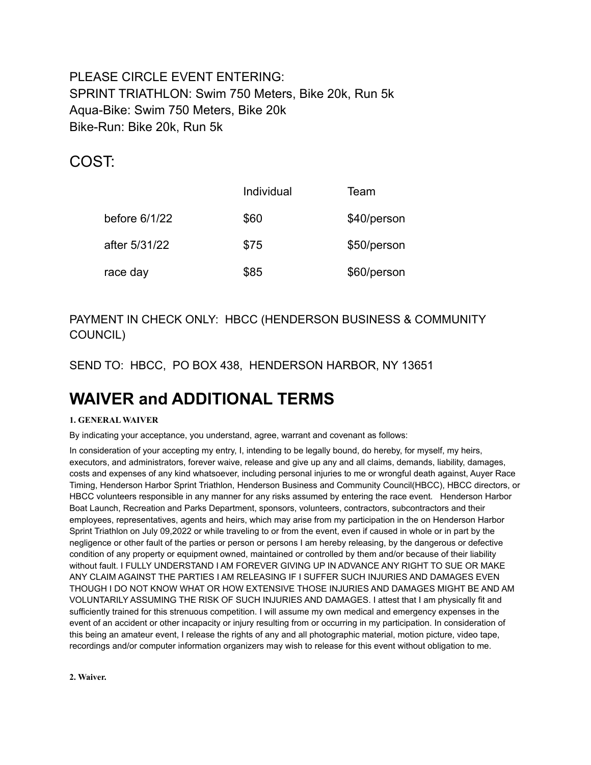PI FASE CIRCLE EVENT ENTERING: SPRINT TRIATHLON: Swim 750 Meters, Bike 20k, Run 5k Aqua-Bike: Swim 750 Meters, Bike 20k Bike-Run: Bike 20k, Run 5k

### COST:

|               | Individual | Team        |
|---------------|------------|-------------|
| before 6/1/22 | \$60       | \$40/person |
| after 5/31/22 | \$75       | \$50/person |
| race day      | \$85       | \$60/person |

### PAYMENT IN CHECK ONLY: HBCC (HENDERSON BUSINESS & COMMUNITY COUNCIL)

SEND TO: HBCC, PO BOX 438, HENDERSON HARBOR, NY 13651

# **WAIVER and ADDITIONAL TERMS**

#### **1. GENERAL WAIVER**

By indicating your acceptance, you understand, agree, warrant and covenant as follows:

In consideration of your accepting my entry, I, intending to be legally bound, do hereby, for myself, my heirs, executors, and administrators, forever waive, release and give up any and all claims, demands, liability, damages, costs and expenses of any kind whatsoever, including personal injuries to me or wrongful death against, Auyer Race Timing, Henderson Harbor Sprint Triathlon, Henderson Business and Community Council(HBCC), HBCC directors, or HBCC volunteers responsible in any manner for any risks assumed by entering the race event*.* Henderson Harbor Boat Launch, Recreation and Parks Department, sponsors, volunteers, contractors, subcontractors and their employees, representatives, agents and heirs, which may arise from my participation in the on Henderson Harbor Sprint Triathlon on July 09,2022 or while traveling to or from the event, even if caused in whole or in part by the negligence or other fault of the parties or person or persons I am hereby releasing, by the dangerous or defective condition of any property or equipment owned, maintained or controlled by them and/or because of their liability without fault. I FULLY UNDERSTAND I AM FOREVER GIVING UP IN ADVANCE ANY RIGHT TO SUE OR MAKE ANY CLAIM AGAINST THE PARTIES I AM RELEASING IF I SUFFER SUCH INJURIES AND DAMAGES EVEN THOUGH I DO NOT KNOW WHAT OR HOW EXTENSIVE THOSE INJURIES AND DAMAGES MIGHT BE AND AM VOLUNTARILY ASSUMING THE RISK OF SUCH INJURIES AND DAMAGES. I attest that I am physically fit and sufficiently trained for this strenuous competition. I will assume my own medical and emergency expenses in the event of an accident or other incapacity or injury resulting from or occurring in my participation. In consideration of this being an amateur event, I release the rights of any and all photographic material, motion picture, video tape, recordings and/or computer information organizers may wish to release for this event without obligation to me.

**2. Waiver.**